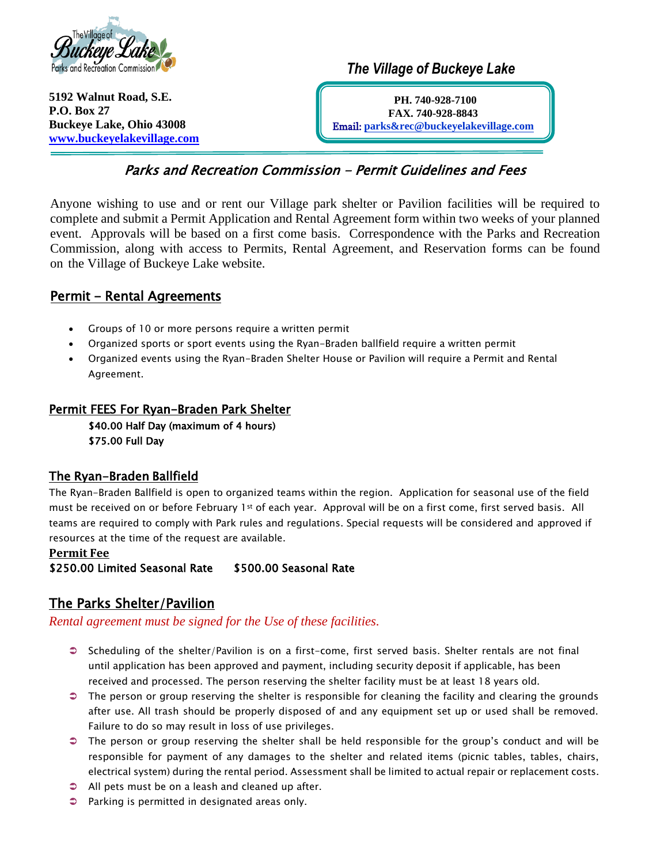

**5192 Walnut Road, S.E. P.O. Box 27 Buckeye Lake, Ohio 43008 [www.buckeyelakevillage.com](https://d.docs.live.net/11e5bbc3b9621e95/2021%20Parks%20and%20Recreation/Park%20and%20Pavilion%20Permits%20and%20Use%20policies/www.buckeyelakevillage.com)**  *The Village of Buckeye Lake* 

**PH. 740-928-7100 FAX. 740-928-8843**  Email: **[parks&rec@buckeyelakevillage.com](mailto:parks&rec@buckeyelakevillage.com)**

# Parks and Recreation Commission - Permit Guidelines and Fees

Anyone wishing to use and or rent our Village park shelter or Pavilion facilities will be required to complete and submit a Permit Application and Rental Agreement form within two weeks of your planned event. Approvals will be based on a first come basis. Correspondence with the Parks and Recreation Commission, along with access to Permits, Rental Agreement, and Reservation forms can be found on the Village of Buckeye Lake website.

## Permit - Rental Agreements

- Groups of 10 or more persons require a written permit
- Organized sports or sport events using the Ryan-Braden ballfield require a written permit
- Organized events using the Ryan-Braden Shelter House or Pavilion will require a Permit and Rental Agreement.

### Permit FEES For Ryan-Braden Park Shelter

\$40.00 Half Day (maximum of 4 hours) \$75.00 Full Day

### The Ryan-Braden Ballfield

The Ryan-Braden Ballfield is open to organized teams within the region. Application for seasonal use of the field must be received on or before February 1st of each year. Approval will be on a first come, first served basis. All teams are required to comply with Park rules and regulations. Special requests will be considered and approved if resources at the time of the request are available.

#### **Permit Fee**  \$250.00 Limited Seasonal Rate \$500.00 Seasonal Rate

## The Parks Shelter/Pavilion

*Rental agreement must be signed for the Use of these facilities.*

- Scheduling of the shelter/Pavilion is on a first-come, first served basis. Shelter rentals are not final until application has been approved and payment, including security deposit if applicable, has been received and processed. The person reserving the shelter facility must be at least 18 years old.
- $\bullet$  The person or group reserving the shelter is responsible for cleaning the facility and clearing the grounds after use. All trash should be properly disposed of and any equipment set up or used shall be removed. Failure to do so may result in loss of use privileges.
- The person or group reserving the shelter shall be held responsible for the group's conduct and will be responsible for payment of any damages to the shelter and related items (picnic tables, tables, chairs, electrical system) during the rental period. Assessment shall be limited to actual repair or replacement costs.
- All pets must be on a leash and cleaned up after.
- Parking is permitted in designated areas only.